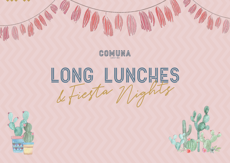

# LONG LUNCHES



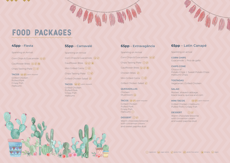# FOOD PACKAGES

#### 45pp - Fiesta

Sparkling on Arrival

Corn Chips & Guacamole (vg) (sf)

Cauliflower Bites  $\left(\mathbf{v}\mathbf{g}\right)(\mathbf{g}\mathbf{f})\left(\mathbf{v}\right)$ 

Chips Tasting Plate  $(\sqrt{\mathbf{g}})$ 

TACOS (vgo gfo) upon request Grilled Chicken **Pulled Pork** Crispy Fish Halloumi

### 55pp - Carnavalé

Sparkling on Arrival

Corn Chips & Guacamole (vg) (sf)

Cauliflower Bites  $(vg)(gt)(s)$ 

Mini Grilled Corns  $(v)$  (gf)

Chips Tasting Plate  $(\sqrt{\mathbf{g}f})$ 

Grilled Chicken Salad (sf)

TACOS (vgo gfo) upon request **Grilled Chicken Pulled Pork Crispy Fish** Halloumi



### 65pp - Extravagância

Sparkling on Arrival

Corn Chips & Guacamole (vg) (sf)

Chips Tasting Plate  $\sqrt{\mathbf{g}}$ Cauliflower Bites  $(s)$   $(s)$   $(s)$ 

Chicken Bites (sf)

Mini Grilled Corns  $(v)$  (sf)

Grilled Chicken Salad (sf)

#### **QUESADILLAS**

Chicken Mushroom (vg)

TACOS (vgo) (gfo) upon request

Grilled Chicken **Pulled Pork Crispy Fish** Halloumi (v)

#### **DESSERT**  $(\vee)(\mathbf{g}f)$

Warm chocolate brownie with cinnamon cream and sweet paprika dust

## 65pp - Latin Canapé

Sparkling on arrival

**CORN CHIPS** Guacamole | Pico de gallo

#### **CHIPS CONE**

Choice of Potato Chips | Sweet Potato Chips Halloumi Chips

**TOSTADAS** Vegetarian | Grilled Chicken

#### **SALAD**

Rocket, shaved cabbage, black beans, quinoa and corn

vgo (gfo) upon request

#### **MINI TACOS**

Grilled Chicken | Halloumi Pulled Pork | Crispy Fish

#### $(v)(gf)$ **DESSERT**

Warm chocolate brownie with cinnamon cream and sweet paprika dust